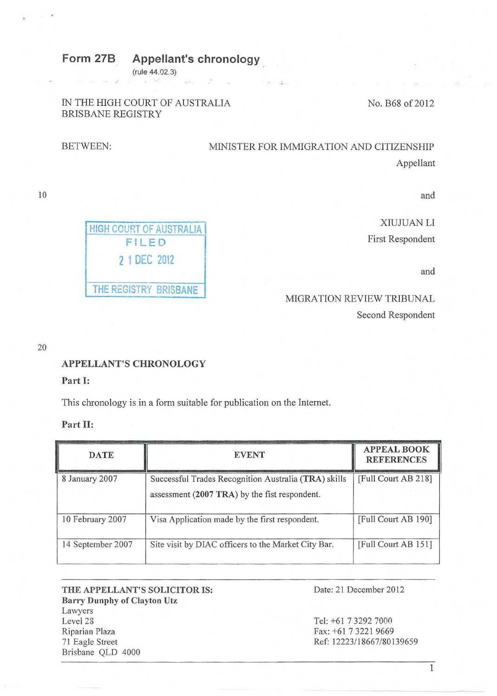#### **Form 278 Appellant's chronology**

(rule 44.02.3)  $\omega = \omega(\vec{r})$ sans

### IN THE HIGH COURT OF AUSTRALIA BRISBANE REGISTRY

.·

No. B68 of 2012

# BETWEEN: MINISTER FOR IMMIGRATION AND CITIZENSHIP Appellant

10

| <b>HIGH COURT OF AUSTRALIA</b> |  |  |  |  |
|--------------------------------|--|--|--|--|
| FILED                          |  |  |  |  |
| 2 1 DEC 2012                   |  |  |  |  |
|                                |  |  |  |  |
| THE REGISTRY BRISBANE          |  |  |  |  |

XIUJUAN LI First Respondent

and

and

MIGRATION REVIEW TRIBUNAL Second Respondent

20

## APPELLANT'S CHRONOLOGY

Part 1:

This chronology is in a form suitable for publication on the Internet.

### Part II:

| <b>DATE</b>       | <b>EVENT</b>                                                                                          | <b>APPEAL BOOK</b><br><b>REFERENCES</b> |
|-------------------|-------------------------------------------------------------------------------------------------------|-----------------------------------------|
| 8 January 2007    | Successful Trades Recognition Australia (TRA) skills<br>assessment (2007 TRA) by the fist respondent. | [Full Court AB 218]                     |
| 10 February 2007  | Visa Application made by the first respondent.                                                        | [Full Court AB 190]                     |
| 14 September 2007 | Site visit by DIAC officers to the Market City Bar.                                                   | [Full Court AB 151]                     |

THE APPELLANT'S SOLICITOR IS: Date: 21 December 2012 Barry Dunphy of Clayton Utz Lawyers Levei 23 Riparian Plaza 71 Eagle Street Brisbane QLD 4000

Tel: +61 7 3292 7000 Fax: +61 73221 9669 Ref: 12223/18667/80139659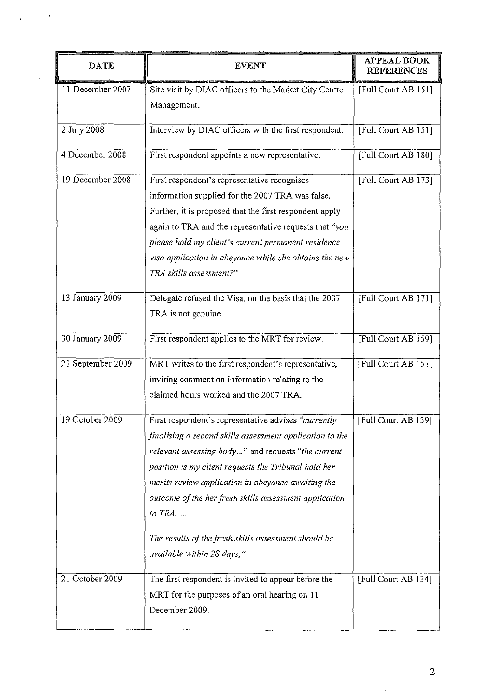| <b>DATE</b>       | <b>EVENT</b>                                                                                                                                                                                                                                                                                                                                                                                                                                             | <b>APPEAL BOOK</b><br><b>REFERENCES</b> |
|-------------------|----------------------------------------------------------------------------------------------------------------------------------------------------------------------------------------------------------------------------------------------------------------------------------------------------------------------------------------------------------------------------------------------------------------------------------------------------------|-----------------------------------------|
| 11 December 2007  | Site visit by DIAC officers to the Market City Centre<br>Management.                                                                                                                                                                                                                                                                                                                                                                                     | [Full Court AB 151]                     |
| 2 July 2008       | Interview by DIAC officers with the first respondent.                                                                                                                                                                                                                                                                                                                                                                                                    | [Full Court AB 151]                     |
| 4 December 2008   | First respondent appoints a new representative.                                                                                                                                                                                                                                                                                                                                                                                                          | [Full Court AB 180]                     |
| 19 December 2008  | First respondent's representative recognises<br>information supplied for the 2007 TRA was false.<br>Further, it is proposed that the first respondent apply<br>again to TRA and the representative requests that "you<br>please hold my client's current permanent residence<br>visa application in abeyance while she obtains the new<br>TRA skills assessment?"                                                                                        | [Full Court AB 173]                     |
| 13 January 2009   | Delegate refused the Visa, on the basis that the 2007<br>TRA is not genuine.                                                                                                                                                                                                                                                                                                                                                                             | [Full Court AB 171]                     |
| 30 January 2009   | First respondent applies to the MRT for review.                                                                                                                                                                                                                                                                                                                                                                                                          | [Full Court AB 159]                     |
| 21 September 2009 | MRT writes to the first respondent's representative,<br>inviting comment on information relating to the<br>claimed hours worked and the 2007 TRA.                                                                                                                                                                                                                                                                                                        | [Full Court AB 151]                     |
| 19 October 2009   | First respondent's representative advises "currently<br>finalising a second skills assessment application to the<br>relevant assessing body" and requests "the current<br>position is my client requests the Tribunal hold her<br>merits review application in abeyance awaiting the<br>outcome of the her fresh skills assessment application<br>to TRA. $\ldots$<br>The results of the fresh skills assessment should be<br>available within 28 days," | [Full Court AB 139]                     |
| 21 October 2009   | The first respondent is invited to appear before the<br>MRT for the purposes of an oral hearing on 11<br>December 2009.                                                                                                                                                                                                                                                                                                                                  | [Full Court AB 134]                     |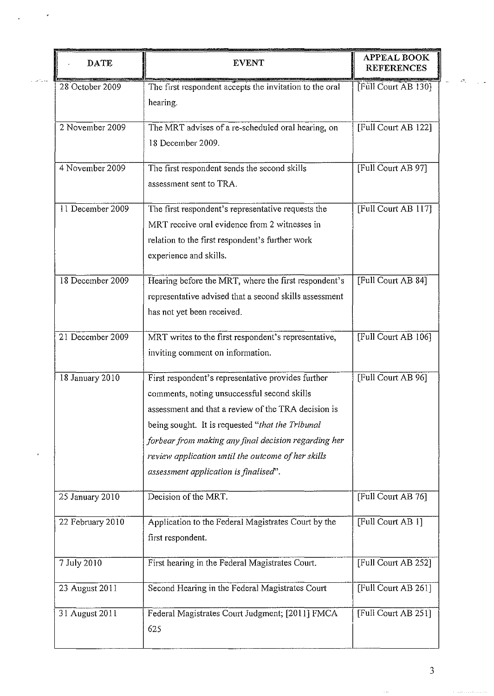| <b>DATE</b>      | <b>EVENT</b>                                                                                                                                                                                                                                                                                                                                                        | <b>APPEAL BOOK</b><br><b>REFERENCES</b> |
|------------------|---------------------------------------------------------------------------------------------------------------------------------------------------------------------------------------------------------------------------------------------------------------------------------------------------------------------------------------------------------------------|-----------------------------------------|
| 28 October 2009  | The first respondent accepts the invitation to the oral<br>hearing.                                                                                                                                                                                                                                                                                                 | [Full Court AB 130]                     |
| 2 November 2009  | The MRT advises of a re-scheduled oral hearing, on<br>18 December 2009.                                                                                                                                                                                                                                                                                             | [Full Court AB 122]                     |
| 4 November 2009  | The first respondent sends the second skills<br>assessment sent to TRA.                                                                                                                                                                                                                                                                                             | [Full Court AB 97]                      |
| 11 December 2009 | The first respondent's representative requests the<br>MRT receive oral evidence from 2 witnesses in<br>relation to the first respondent's further work<br>experience and skills.                                                                                                                                                                                    | [Full Court AB 117]                     |
| 18 December 2009 | Hearing before the MRT, where the first respondent's<br>representative advised that a second skills assessment<br>has not yet been received.                                                                                                                                                                                                                        | [Full Court AB 84]                      |
| 21 December 2009 | MRT writes to the first respondent's representative,<br>inviting comment on information.                                                                                                                                                                                                                                                                            | [Full Court AB 106]                     |
| 18 January 2010  | First respondent's representative provides further<br>comments, noting unsuccessful second skills<br>assessment and that a review of the TRA decision is<br>being sought. It is requested "that the Tribunal<br>forbear from making any final decision regarding her<br>review application until the outcome of her skills<br>assessment application is finalised". | [Full Court AB 96]                      |
| 25 January 2010  | Decision of the MRT.                                                                                                                                                                                                                                                                                                                                                | [Full Court AB 76]                      |
| 22 February 2010 | Application to the Federal Magistrates Court by the<br>first respondent.                                                                                                                                                                                                                                                                                            | [Full Court AB 1]                       |
| 7 July 2010      | First hearing in the Federal Magistrates Court.                                                                                                                                                                                                                                                                                                                     | [Full Court AB 252]                     |
| 23 August 2011   | Second Hearing in the Federal Magistrates Court                                                                                                                                                                                                                                                                                                                     | [Full Court AB 261]                     |
| 31 August 2011   | Federal Magistrates Court Judgment; [2011] FMCA<br>625                                                                                                                                                                                                                                                                                                              | [Full Court AB 251]                     |

المتأمين

l,

 $\mathcal{L}_{\mathcal{R}}^{\text{int}}$